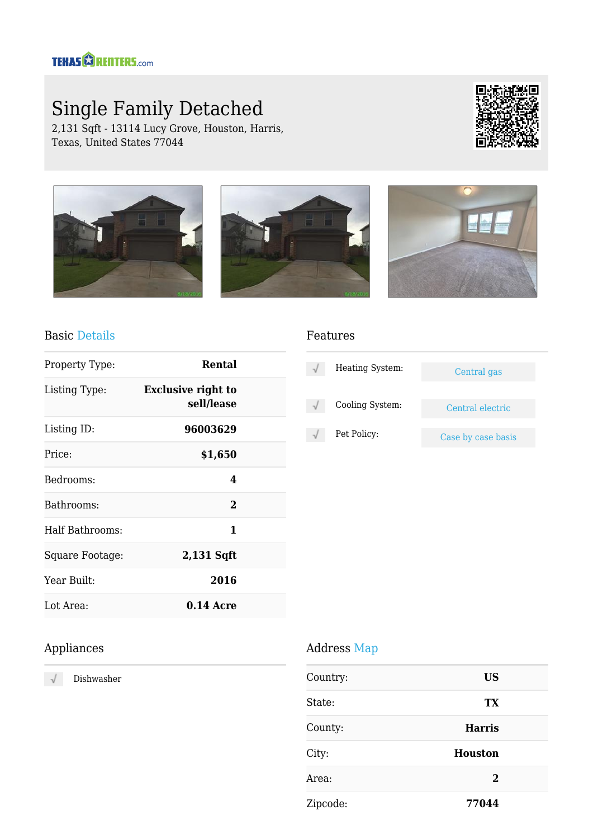# Single Family Detached

2,131 Sqft - 13114 Lucy Grove, Houston, Harris, Texas, United States 77044





#### Basic Details

| Property Type:  | Rental                                  |  |
|-----------------|-----------------------------------------|--|
| Listing Type:   | <b>Exclusive right to</b><br>sell/lease |  |
| Listing ID:     | 96003629                                |  |
| Price:          | \$1,650                                 |  |
| Bedrooms:       | 4                                       |  |
| Bathrooms:      | $\mathbf 2$                             |  |
| Half Bathrooms: | 1                                       |  |
| Square Footage: | 2,131 Sqft                              |  |
| Year Built:     | 2016                                    |  |
| Lot Area:       | $0.14$ Acre                             |  |

#### Features

| Heating System: | Central gas        |
|-----------------|--------------------|
| Cooling System: | Central electric   |
| Pet Policy:     | Case by case basis |

#### Appliances

Dishwasher  $\sqrt{ }$ 

#### Address Map

| Country: | <b>US</b>      |  |
|----------|----------------|--|
| State:   | <b>TX</b>      |  |
| County:  | <b>Harris</b>  |  |
| City:    | <b>Houston</b> |  |
| Area:    | $\mathbf{2}$   |  |
| Zipcode: | 77044          |  |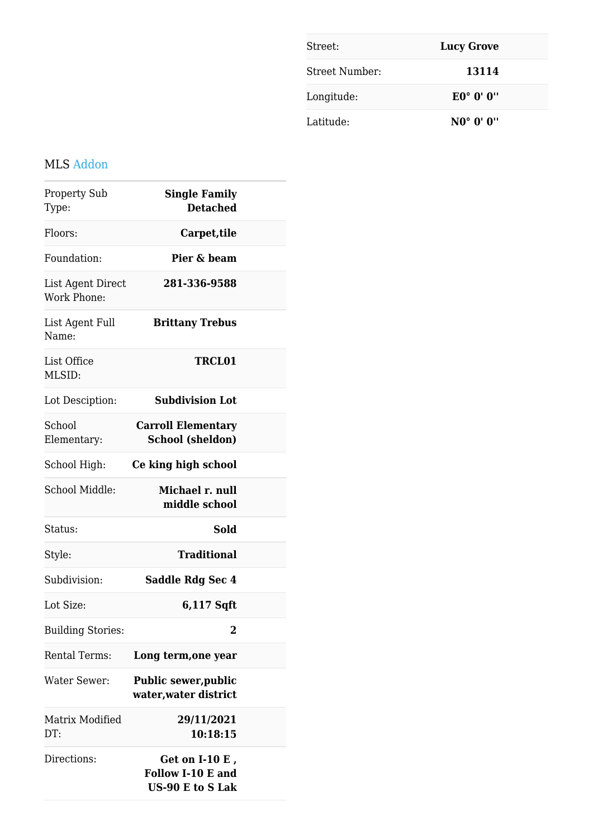| Street:        | <b>Lucy Grove</b>                            |
|----------------|----------------------------------------------|
| Street Number: | 13114                                        |
| Longitude:     | $E0^{\circ}$ $0^{\prime}$ $0^{\prime\prime}$ |
| Latitude:      | $NO^{\circ}$ $O^{\prime}$ $O^{\prime\prime}$ |

### MLS Addon

| <b>Property Sub</b><br>Type:            | <b>Single Family</b><br><b>Detached</b>                          |  |
|-----------------------------------------|------------------------------------------------------------------|--|
| Floors:                                 | Carpet, tile                                                     |  |
| Foundation:                             | Pier & beam                                                      |  |
| List Agent Direct<br><b>Work Phone:</b> | 281-336-9588                                                     |  |
| List Agent Full<br>Name:                | <b>Brittany Trebus</b>                                           |  |
| List Office<br>MLSID:                   | <b>TRCL01</b>                                                    |  |
| Lot Desciption:                         | <b>Subdivision Lot</b>                                           |  |
| School<br>Elementary:                   | <b>Carroll Elementary</b><br><b>School (sheldon)</b>             |  |
| School High:                            | Ce king high school                                              |  |
| School Middle:                          | Michael r. null<br>middle school                                 |  |
| Status:                                 | <b>Sold</b>                                                      |  |
| Style:                                  | <b>Traditional</b>                                               |  |
| Subdivision:                            | Saddle Rdg Sec 4                                                 |  |
| Lot Size:                               | 6,117 Sqft                                                       |  |
| <b>Building Stories:</b>                | $\mathbf 2$                                                      |  |
| <b>Rental Terms:</b>                    | Long term, one year                                              |  |
| Water Sewer:                            | <b>Public sewer, public</b><br>water, water district             |  |
| Matrix Modified<br>DT:                  | 29/11/2021<br>10:18:15                                           |  |
| Directions:                             | Get on $I-10E$ ,<br>Follow I-10 E and<br><b>US-90 E to S Lak</b> |  |